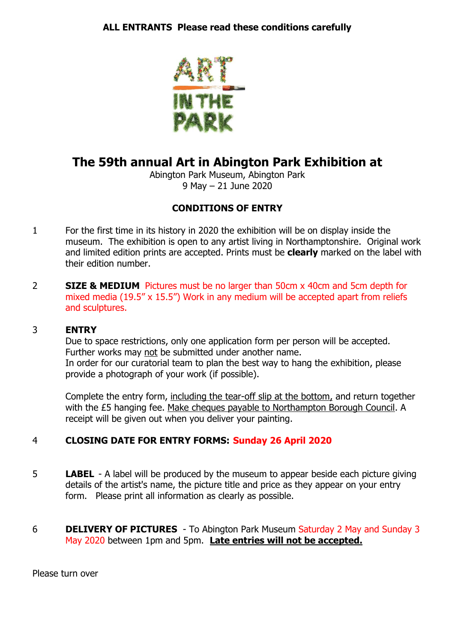

# **The 59th annual Art in Abington Park Exhibition at**

Abington Park Museum, Abington Park 9 May – 21 June 2020

# **CONDITIONS OF ENTRY**

- 1 For the first time in its history in 2020 the exhibition will be on display inside the museum. The exhibition is open to any artist living in Northamptonshire. Original work and limited edition prints are accepted. Prints must be **clearly** marked on the label with their edition number.
- 2 **SIZE & MEDIUM** Pictures must be no larger than 50cm x 40cm and 5cm depth for mixed media (19.5" x 15.5") Work in any medium will be accepted apart from reliefs and sculptures.

## 3 **ENTRY**

Due to space restrictions, only one application form per person will be accepted. Further works may not be submitted under another name. In order for our curatorial team to plan the best way to hang the exhibition, please provide a photograph of your work (if possible).

Complete the entry form, including the tear-off slip at the bottom, and return together with the £5 hanging fee. Make cheques payable to Northampton Borough Council. A receipt will be given out when you deliver your painting.

# 4 **CLOSING DATE FOR ENTRY FORMS: Sunday 26 April 2020**

- 5 **LABEL** A label will be produced by the museum to appear beside each picture giving details of the artist's name, the picture title and price as they appear on your entry form. Please print all information as clearly as possible.
- 6 **DELIVERY OF PICTURES** To Abington Park Museum Saturday 2 May and Sunday 3 May 2020 between 1pm and 5pm. **Late entries will not be accepted.**

Please turn over